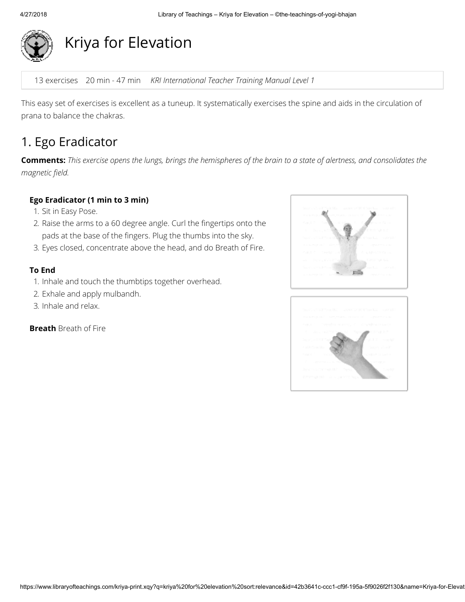

# Kriya for Elevation

13 exercises 20 min - 47 min KRI International Teacher Training Manual Level 1

This easy set of exercises is excellent as a tuneup. It systematically exercises the spine and aids in the circulation of prana to balance the chakras.

### 1. Ego Eradicator

Comments: This exercise opens the lungs, brings the hemispheres of the brain to a state of alertness, and consolidates the magnetic field.

#### Ego Eradicator (1 min to 3 min)

- 1. Sit in Easy Pose.
- 2. Raise the arms to a 60 degree angle. Curl the fingertips onto the pads at the base of the fingers. Plug the thumbs into the sky.
- 3. Eyes closed, concentrate above the head, and do Breath of Fire.

#### To End

- 1. Inhale and touch the thumbtips together overhead.
- 2. Exhale and apply mulbandh.
- 3. Inhale and relax.

Breath Breath of Fire



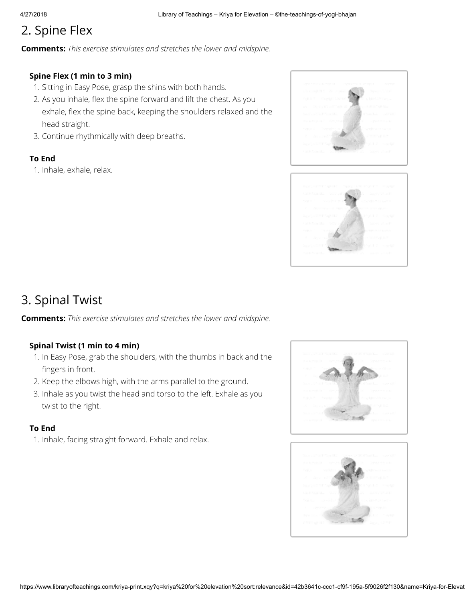# 2. Spine Flex

**Comments:** This exercise stimulates and stretches the lower and midspine.

#### Spine Flex (1 min to 3 min)

- 1. Sitting in Easy Pose, grasp the shins with both hands.
- 2. As you inhale, flex the spine forward and lift the chest. As you exhale, flex the spine back, keeping the shoulders relaxed and the head straight.
- 3. Continue rhythmically with deep breaths.

#### To End

1. Inhale, exhale, relax.





### 3. Spinal Twist

**Comments:** This exercise stimulates and stretches the lower and midspine.

#### Spinal Twist (1 min to 4 min)

- 1. In Easy Pose, grab the shoulders, with the thumbs in back and the fingers in front.
- 2. Keep the elbows high, with the arms parallel to the ground.
- 3. Inhale as you twist the head and torso to the left. Exhale as you twist to the right.

#### To End

1. Inhale, facing straight forward. Exhale and relax.

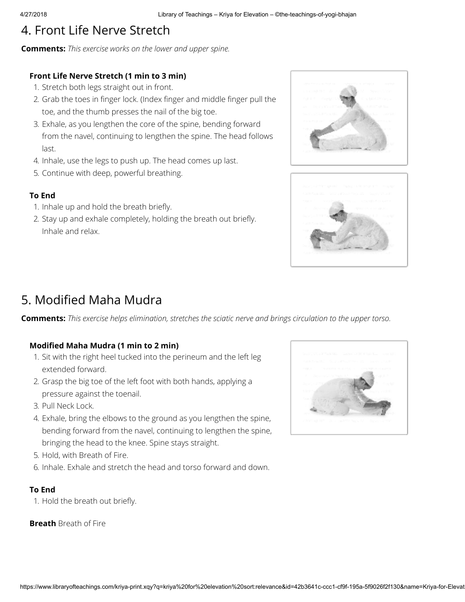# 4. Front Life Nerve Stretch

**Comments:** This exercise works on the lower and upper spine.

#### Front Life Nerve Stretch (1 min to 3 min)

- 1. Stretch both legs straight out in front.
- 2. Grab the toes in finger lock. (Index finger and middle finger pull the toe, and the thumb presses the nail of the big toe.
- 3. Exhale, as you lengthen the core of the spine, bending forward from the navel, continuing to lengthen the spine. The head follows last.
- 4. Inhale, use the legs to push up. The head comes up last.
- 5. Continue with deep, powerful breathing.

#### To End

- 1. Inhale up and hold the breath briefly.
- 2. Stay up and exhale completely, holding the breath out briefly. Inhale and relax.





### 5. Modified Maha Mudra

**Comments:** This exercise helps elimination, stretches the sciatic nerve and brings circulation to the upper torso.

#### Modified Maha Mudra (1 min to 2 min)

- 1. Sit with the right heel tucked into the perineum and the left leg extended forward.
- 2. Grasp the big toe of the left foot with both hands, applying a pressure against the toenail.
- 3. Pull Neck Lock.
- 4. Exhale, bring the elbows to the ground as you lengthen the spine, bending forward from the navel, continuing to lengthen the spine, bringing the head to the knee. Spine stays straight.
- 5. Hold, with Breath of Fire.
- 6. Inhale. Exhale and stretch the head and torso forward and down.

#### To End

1. Hold the breath out briefly.

**Breath** Breath of Fire

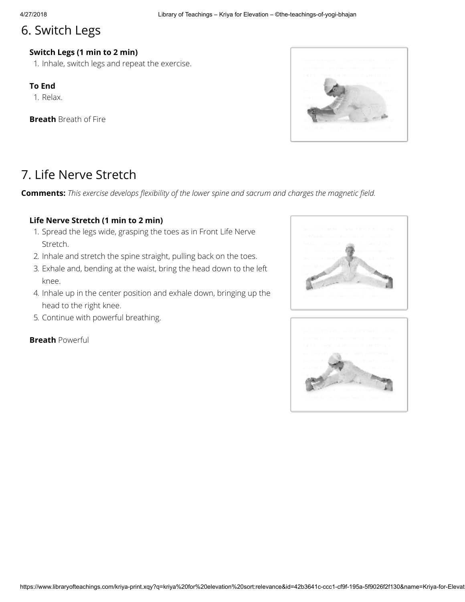### 6. Switch Legs

#### Switch Legs (1 min to 2 min)

1. Inhale, switch legs and repeat the exercise.

#### To End

1. Relax.

**Breath** Breath of Fire



## 7. Life Nerve Stretch

Comments: This exercise develops flexibility of the lower spine and sacrum and charges the magnetic field.

#### Life Nerve Stretch (1 min to 2 min)

- 1. Spread the legs wide, grasping the toes as in Front Life Nerve Stretch.
- 2. Inhale and stretch the spine straight, pulling back on the toes.
- 3. Exhale and, bending at the waist, bring the head down to the left knee.
- 4. Inhale up in the center position and exhale down, bringing up the head to the right knee.
- 5. Continue with powerful breathing.

**Breath Powerful** 



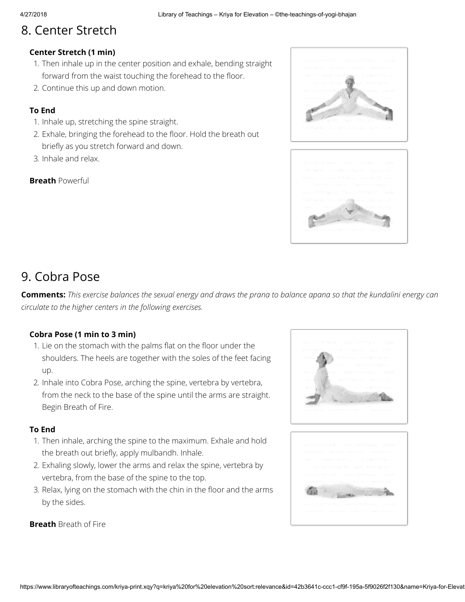# 8. Center Stretch

#### Center Stretch (1 min)

- 1. Then inhale up in the center position and exhale, bending straight forward from the waist touching the forehead to the floor.
- 2. Continue this up and down motion.

#### To End

- 1. Inhale up, stretching the spine straight.
- 2. Exhale, bringing the forehead to the floor. Hold the breath out briefly as you stretch forward and down.
- 3. Inhale and relax.

#### **Breath Powerful**





## 9. Cobra Pose

**Comments:** This exercise balances the sexual energy and draws the prana to balance apana so that the kundalini energy can circulate to the higher centers in the following exercises.

#### Cobra Pose (1 min to 3 min)

- 1. Lie on the stomach with the palms flat on the floor under the shoulders. The heels are together with the soles of the feet facing up.
- 2. Inhale into Cobra Pose, arching the spine, vertebra by vertebra, from the neck to the base of the spine until the arms are straight. Begin Breath of Fire.

#### To End

- 1. Then inhale, arching the spine to the maximum. Exhale and hold the breath out briefly, apply mulbandh. Inhale.
- 2. Exhaling slowly, lower the arms and relax the spine, vertebra by vertebra, from the base of the spine to the top.
- 3. Relax, lying on the stomach with the chin in the floor and the arms by the sides.



**Breath** Breath of Fire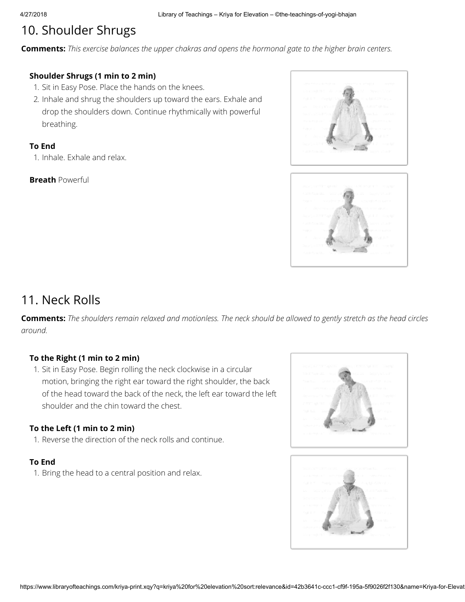# 10. Shoulder Shrugs

**Comments:** This exercise balances the upper chakras and opens the hormonal gate to the higher brain centers.

#### Shoulder Shrugs (1 min to 2 min)

- 1. Sit in Easy Pose. Place the hands on the knees.
- 2. Inhale and shrug the shoulders up toward the ears. Exhale and drop the shoulders down. Continue rhythmically with powerful breathing.

#### To End

1. Inhale. Exhale and relax.

#### **Breath Powerful**





### 11. Neck Rolls

**Comments:** The shoulders remain relaxed and motionless. The neck should be allowed to gently stretch as the head circles around.

#### To the Right (1 min to 2 min)

1. Sit in Easy Pose. Begin rolling the neck clockwise in a circular motion, bringing the right ear toward the right shoulder, the back of the head toward the back of the neck, the left ear toward the left shoulder and the chin toward the chest.

#### To the Left (1 min to 2 min)

1. Reverse the direction of the neck rolls and continue.

#### To End

1. Bring the head to a central position and relax.

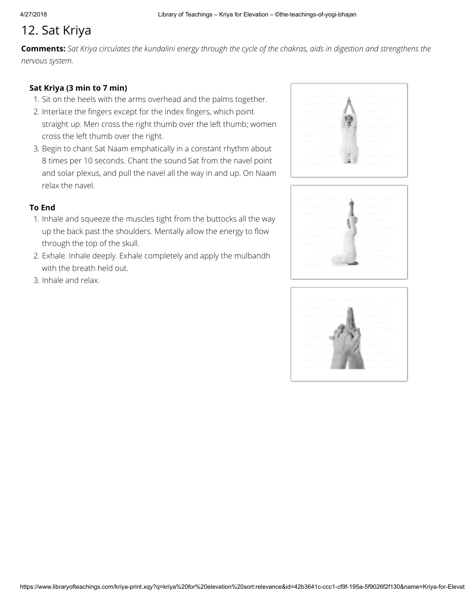# 12. Sat Kriya

Comments: Sat Kriya circulates the kundalini energy through the cycle of the chakras, aids in digestion and strengthens the nervous system.

#### Sat Kriya (3 min to 7 min)

- 1. Sit on the heels with the arms overhead and the palms together.
- 2. Interlace the fingers except for the index fingers, which point straight up. Men cross the right thumb over the left thumb; women cross the left thumb over the right.
- 3. Begin to chant Sat Naam emphatically in a constant rhythm about 8 times per 10 seconds. Chant the sound Sat from the navel point and solar plexus, and pull the navel all the way in and up. On Naam relax the navel.

#### To End

- 1. Inhale and squeeze the muscles tight from the buttocks all the way up the back past the shoulders. Mentally allow the energy to flow through the top of the skull.
- 2. Exhale. Inhale deeply. Exhale completely and apply the mulbandh with the breath held out.
- 3. Inhale and relax.